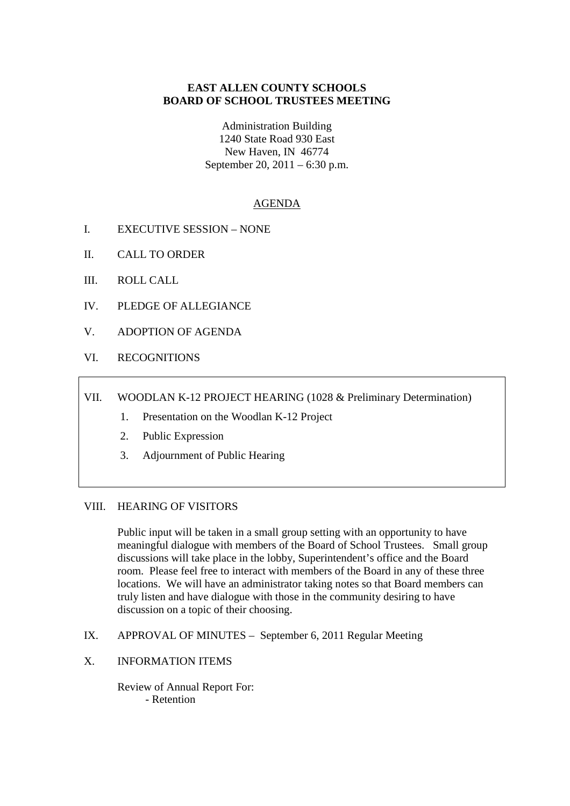# **EAST ALLEN COUNTY SCHOOLS BOARD OF SCHOOL TRUSTEES MEETING**

Administration Building 1240 State Road 930 East New Haven, IN 46774 September 20, 2011 – 6:30 p.m.

# AGENDA

- I. EXECUTIVE SESSION NONE
- II. CALL TO ORDER
- III. ROLL CALL
- IV. PLEDGE OF ALLEGIANCE
- V. ADOPTION OF AGENDA
- VI. RECOGNITIONS
- VII. WOODLAN K-12 PROJECT HEARING (1028 & Preliminary Determination)
	- 1. Presentation on the Woodlan K-12 Project
	- 2. Public Expression
	- 3. Adjournment of Public Hearing

#### VIII. HEARING OF VISITORS

Public input will be taken in a small group setting with an opportunity to have meaningful dialogue with members of the Board of School Trustees. Small group discussions will take place in the lobby, Superintendent's office and the Board room. Please feel free to interact with members of the Board in any of these three locations. We will have an administrator taking notes so that Board members can truly listen and have dialogue with those in the community desiring to have discussion on a topic of their choosing.

- IX. APPROVAL OF MINUTES September 6, 2011 Regular Meeting
- X. INFORMATION ITEMS

Review of Annual Report For: - Retention